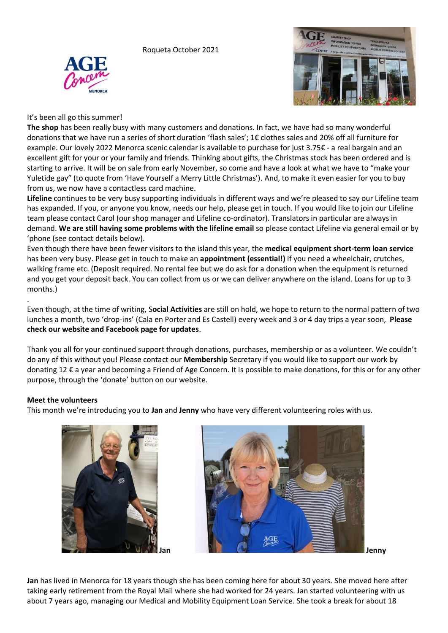Roqueta October 2021





# It's been all go this summer!

**The shop** has been really busy with many customers and donations. In fact, we have had so many wonderful donations that we have run a series of short duration 'flash sales'; 1€ clothes sales and 20% off all furniture for example. Our lovely 2022 Menorca scenic calendar is available to purchase for just 3.75€ - a real bargain and an excellent gift for your or your family and friends. Thinking about gifts, the Christmas stock has been ordered and is starting to arrive. It will be on sale from early November, so come and have a look at what we have to "make your Yuletide gay" (to quote from 'Have Yourself a Merry Little Christmas'). And, to make it even easier for you to buy from us, we now have a contactless card machine.

**Lifeline** continues to be very busy supporting individuals in different ways and we're pleased to say our Lifeline team has expanded. If you, or anyone you know, needs our help, please get in touch. If you would like to join our Lifeline team please contact Carol (our shop manager and Lifeline co-ordinator). Translators in particular are always in demand. **We are still having some problems with the lifeline email** so please contact Lifeline via general email or by 'phone (see contact details below).

Even though there have been fewer visitors to the island this year, the **medical equipment short-term loan service** has been very busy. Please get in touch to make an **appointment (essential!)** if you need a wheelchair, crutches, walking frame etc. (Deposit required. No rental fee but we do ask for a donation when the equipment is returned and you get your deposit back. You can collect from us or we can deliver anywhere on the island. Loans for up to 3 months.)

. Even though, at the time of writing, S**ocial Activities** are still on hold, we hope to return to the normal pattern of two lunches a month, two 'drop-ins' (Cala en Porter and Es Castell) every week and 3 or 4 day trips a year soon, **Please check our website and Facebook page for updates**.

Thank you all for your continued support through donations, purchases, membership or as a volunteer. We couldn't do any of this without you! Please contact our **Membership** Secretary if you would like to support our work by donating 12 € a year and becoming a Friend of Age Concern. It is possible to make donations, for this or for any other purpose, through the 'donate' button on our website.

## **Meet the volunteers**

This month we're introducing you to **Jan** and **Jenny** who have very different volunteering roles with us.





**Jan** has lived in Menorca for 18 years though she has been coming here for about 30 years. She moved here after taking early retirement from the Royal Mail where she had worked for 24 years. Jan started volunteering with us about 7 years ago, managing our Medical and Mobility Equipment Loan Service. She took a break for about 18